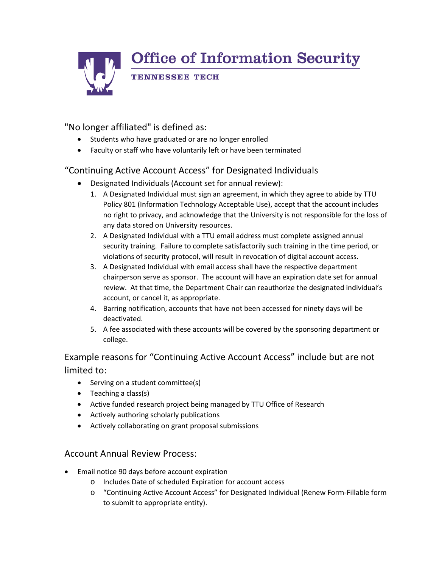**Office of Information Security TENNESSEE TECH** 

## "No longer affiliated" is defined as:

- Students who have graduated or are no longer enrolled
- Faculty or staff who have voluntarily left or have been terminated

### "Continuing Active Account Access" for Designated Individuals

- Designated Individuals (Account set for annual review):
	- 1. A Designated Individual must sign an agreement, in which they agree to abide by TTU Policy 801 (Information Technology Acceptable Use), accept that the account includes no right to privacy, and acknowledge that the University is not responsible for the loss of any data stored on University resources.
	- 2. A Designated Individual with a TTU email address must complete assigned annual security training. Failure to complete satisfactorily such training in the time period, or violations of security protocol, will result in revocation of digital account access.
	- 3. A Designated Individual with email access shall have the respective department chairperson serve as sponsor. The account will have an expiration date set for annual review. At that time, the Department Chair can reauthorize the designated individual's account, or cancel it, as appropriate.
	- 4. Barring notification, accounts that have not been accessed for ninety days will be deactivated.
	- 5. A fee associated with these accounts will be covered by the sponsoring department or college.

Example reasons for "Continuing Active Account Access" include but are not limited to:

- Serving on a student committee(s)
- Teaching a class(s)
- Active funded research project being managed by TTU Office of Research
- Actively authoring scholarly publications
- Actively collaborating on grant proposal submissions

#### Account Annual Review Process:

- Email notice 90 days before account expiration
	- o Includes Date of scheduled Expiration for account access
	- o "Continuing Active Account Access" for Designated Individual (Renew Form-Fillable form to submit to appropriate entity).